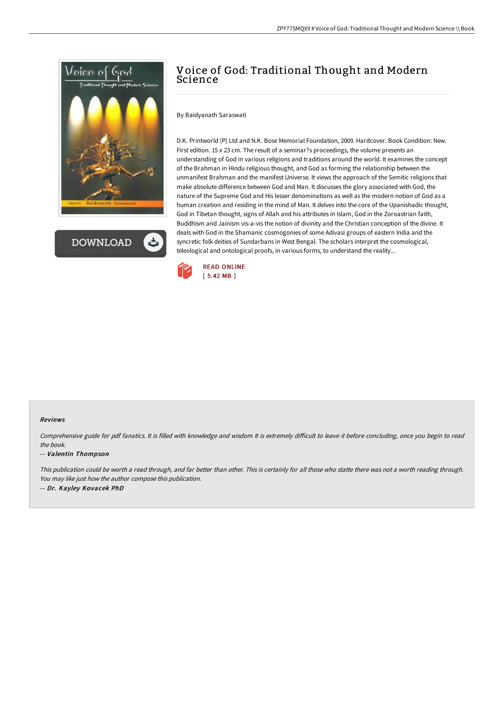

**DOWNLOAD** 

# Voice of God: Traditional Thought and Modern Science

### By Baidyanath Saraswati

D.K. Printworld (P) Ltd and N.K. Bose Memorial Foundation, 2009. Hardcover. Book Condition: New. First edition. 15 x 23 cm. The result of a seminar?s proceedings, the volume presents an understanding of God in various religions and traditions around the world. It examines the concept of the Brahman in Hindu religious thought, and God as forming the relationship between the unmanifest Brahman and the manifest Universe. It views the approach of the Semitic religions that make absolute difference between God and Man. It discusses the glory associated with God, the nature of the Supreme God and His lesser denominations as well as the modern notion of God as a human creation and residing in the mind of Man. It delves into the core of the Upanishadic thought, God in Tibetan thought, signs of Allah and his attributes in Islam, God in the Zoroastrian faith, Buddhism and Jainism vis-a-vis the notion of divinity and the Christian conception of the divine. It deals with God in the Shamanic cosmogonies of some Adivasi groups of eastern India and the syncretic folk deities of Sundarbans in West Bengal. The scholars interpret the cosmological, teleological and ontological proofs, in various forms, to understand the reality...



### Reviews

Comprehensive guide for pdf fanatics. It is filled with knowledge and wisdom It is extremely difficult to leave it before concluding, once you begin to read the book.

### -- Valentin Thompson

This publication could be worth <sup>a</sup> read through, and far better than other. This is certainly for all those who statte there was not <sup>a</sup> worth reading through. You may like just how the author compose this publication. -- Dr. Kayley Kovacek PhD